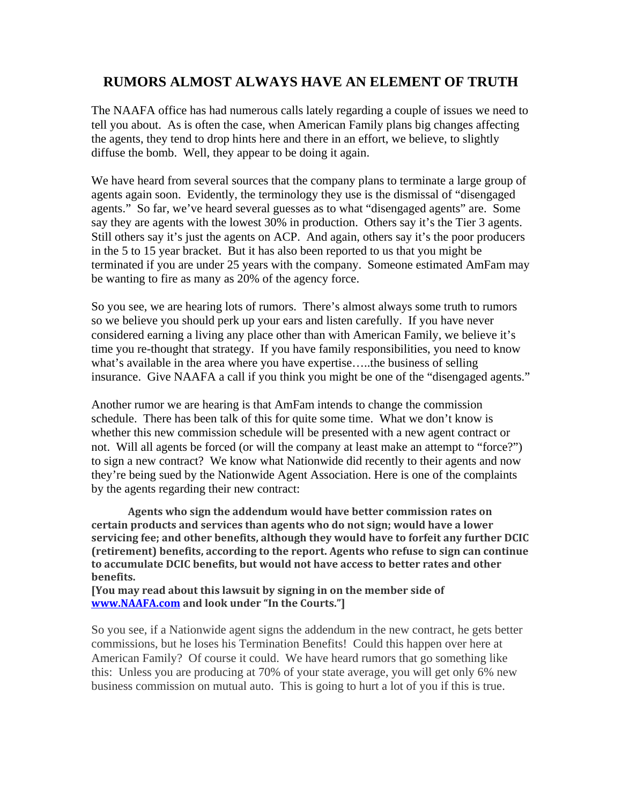## **RUMORS ALMOST ALWAYS HAVE AN ELEMENT OF TRUTH**

The NAAFA office has had numerous calls lately regarding a couple of issues we need to tell you about. As is often the case, when American Family plans big changes affecting the agents, they tend to drop hints here and there in an effort, we believe, to slightly diffuse the bomb. Well, they appear to be doing it again.

We have heard from several sources that the company plans to terminate a large group of agents again soon. Evidently, the terminology they use is the dismissal of "disengaged agents." So far, we've heard several guesses as to what "disengaged agents" are. Some say they are agents with the lowest 30% in production. Others say it's the Tier 3 agents. Still others say it's just the agents on ACP. And again, others say it's the poor producers in the 5 to 15 year bracket. But it has also been reported to us that you might be terminated if you are under 25 years with the company. Someone estimated AmFam may be wanting to fire as many as 20% of the agency force.

So you see, we are hearing lots of rumors. There's almost always some truth to rumors so we believe you should perk up your ears and listen carefully. If you have never considered earning a living any place other than with American Family, we believe it's time you re-thought that strategy. If you have family responsibilities, you need to know what's available in the area where you have expertise…..the business of selling insurance. Give NAAFA a call if you think you might be one of the "disengaged agents."

Another rumor we are hearing is that AmFam intends to change the commission schedule. There has been talk of this for quite some time. What we don't know is whether this new commission schedule will be presented with a new agent contract or not. Will all agents be forced (or will the company at least make an attempt to "force?") to sign a new contract? We know what Nationwide did recently to their agents and now they're being sued by the Nationwide Agent Association. Here is one of the complaints by the agents regarding their new contract:

**Agents who sign the addendum would have better commission rates on certain products and services than agents who do not sign; would have a lower servicing fee; and other benefits, although they would have to forfeit any further DCIC (retirement) benefits, according to the report. Agents who refuse to sign can continue to accumulate DCIC benefits, but would not have access to better rates and other benefits.**

**[You may read about this lawsuit by signing in on the member side of [www.NAAFA.com](http://www.naafa.com/) and look under "In the Courts."]**

So you see, if a Nationwide agent signs the addendum in the new contract, he gets better commissions, but he loses his Termination Benefits! Could this happen over here at American Family? Of course it could. We have heard rumors that go something like this: Unless you are producing at 70% of your state average, you will get only 6% new business commission on mutual auto. This is going to hurt a lot of you if this is true.